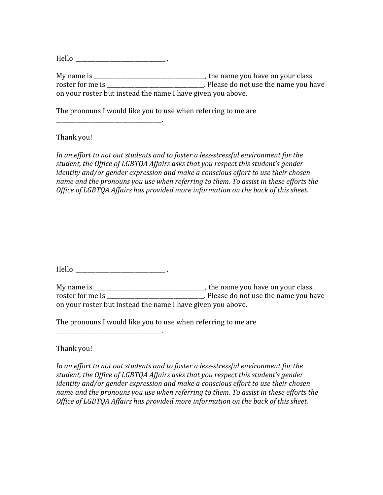Hello \_\_\_\_\_\_\_\_\_\_\_\_\_\_\_\_\_\_\_\_\_\_\_\_\_\_\_\_\_\_\_\_ , 

\_\_\_\_\_\_\_\_\_\_\_\_\_\_\_\_\_\_\_\_\_\_\_\_\_\_\_\_\_\_\_\_\_\_\_\_\_\_. 

My name is \_\_\_\_\_\_\_\_\_\_\_\_\_\_\_\_\_\_\_\_\_\_\_\_\_\_\_\_\_\_\_\_\_\_, the name you have on your class roster for me is **the summand in the set of the set of the set of the name you have** not use the name you have on your roster but instead the name I have given you above.

The pronouns I would like you to use when referring to me are

## Thank you!

In an effort to not out students and to foster a less-stressful environment for the student, the Office of LGBTQA Affairs asks that you respect this student's gender *identity* and/or gender expression and make a conscious effort to use their chosen name and the pronouns you use when referring to them. To assist in these efforts the *Office of LGBTQA Affairs has provided more information on the back of this sheet.* 

Hello \_\_\_\_\_\_\_\_\_\_\_\_\_\_\_\_\_\_\_\_\_\_\_\_\_\_\_\_\_\_\_\_ , 

\_\_\_\_\_\_\_\_\_\_\_\_\_\_\_\_\_\_\_\_\_\_\_\_\_\_\_\_\_\_\_\_\_\_\_\_\_\_. 

My name is \_\_\_\_\_\_\_\_\_\_\_\_\_\_\_\_\_\_\_\_\_\_\_\_\_\_\_\_\_\_\_\_\_\_\_\_\_\_\_\_, the name you have on your class roster for me is **the is** extended the please do not use the name you have on your roster but instead the name I have given you above.

The pronouns I would like you to use when referring to me are

Thank you!

In an effort to not out students and to foster a less-stressful environment for the student, the Office of LGBTQA Affairs asks that you respect this student's gender *identity* and/or gender expression and make a conscious effort to use their chosen name and the pronouns you use when referring to them. To assist in these efforts the *Office of LGBTOA Affairs has provided more information on the back of this sheet.*